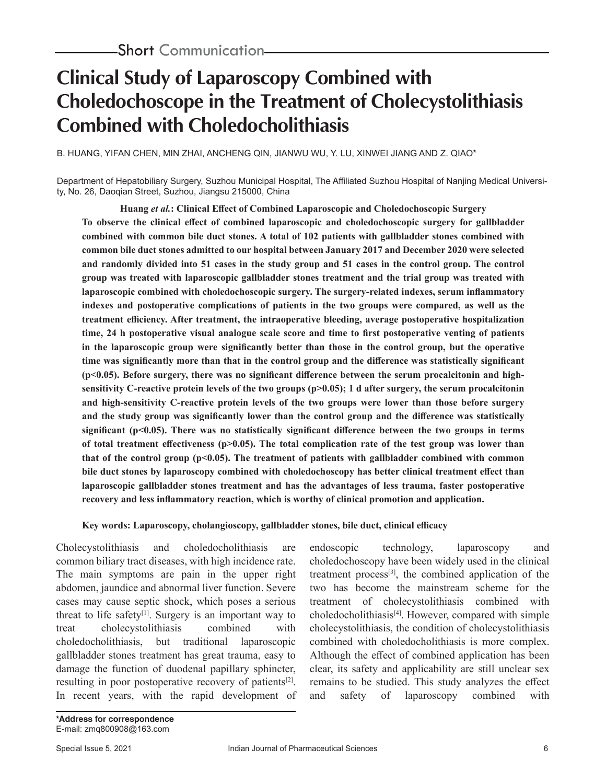# **Clinical Study of Laparoscopy Combined with Choledochoscope in the Treatment of Cholecystolithiasis Combined with Choledocholithiasis**

B. HUANG, YIFAN CHEN, MIN ZHAI, ANCHENG QIN, JIANWU WU, Y. LU, XINWEI JIANG AND Z. QIAO\*

Department of Hepatobiliary Surgery, Suzhou Municipal Hospital, The Affiliated Suzhou Hospital of Nanjing Medical University, No. 26, Daoqian Street, Suzhou, Jiangsu 215000, China

**Huang** *et al.***: Clinical Effect of Combined Laparoscopic and Choledochoscopic Surgery To observe the clinical effect of combined laparoscopic and choledochoscopic surgery for gallbladder combined with common bile duct stones. A total of 102 patients with gallbladder stones combined with common bile duct stones admitted to our hospital between January 2017 and December 2020 were selected and randomly divided into 51 cases in the study group and 51 cases in the control group. The control group was treated with laparoscopic gallbladder stones treatment and the trial group was treated with laparoscopic combined with choledochoscopic surgery. The surgery-related indexes, serum inflammatory indexes and postoperative complications of patients in the two groups were compared, as well as the treatment efficiency. After treatment, the intraoperative bleeding, average postoperative hospitalization time, 24 h postoperative visual analogue scale score and time to first postoperative venting of patients in the laparoscopic group were significantly better than those in the control group, but the operative time was significantly more than that in the control group and the difference was statistically significant (p<0.05). Before surgery, there was no significant difference between the serum procalcitonin and highsensitivity C-reactive protein levels of the two groups (p>0.05); 1 d after surgery, the serum procalcitonin and high-sensitivity C-reactive protein levels of the two groups were lower than those before surgery and the study group was significantly lower than the control group and the difference was statistically significant (p<0.05). There was no statistically significant difference between the two groups in terms of total treatment effectiveness (p>0.05). The total complication rate of the test group was lower than**  that of the control group  $(p<0.05)$ . The treatment of patients with gallbladder combined with common **bile duct stones by laparoscopy combined with choledochoscopy has better clinical treatment effect than laparoscopic gallbladder stones treatment and has the advantages of less trauma, faster postoperative recovery and less inflammatory reaction, which is worthy of clinical promotion and application.**

#### **Key words: Laparoscopy, cholangioscopy, gallbladder stones, bile duct, clinical efficacy**

Cholecystolithiasis and choledocholithiasis are common biliary tract diseases, with high incidence rate. The main symptoms are pain in the upper right abdomen, jaundice and abnormal liver function. Severe cases may cause septic shock, which poses a serious threat to life safety<sup>[1]</sup>. Surgery is an important way to treat cholecystolithiasis combined with choledocholithiasis, but traditional laparoscopic gallbladder stones treatment has great trauma, easy to damage the function of duodenal papillary sphincter, resulting in poor postoperative recovery of patients<sup>[2]</sup>. In recent years, with the rapid development of

endoscopic technology, laparoscopy and choledochoscopy have been widely used in the clinical treatment process<sup>[3]</sup>, the combined application of the two has become the mainstream scheme for the treatment of cholecystolithiasis combined with  $choledocholithiasis<sup>[4]</sup>. However, compared with simple$ cholecystolithiasis, the condition of cholecystolithiasis combined with choledocholithiasis is more complex. Although the effect of combined application has been clear, its safety and applicability are still unclear sex remains to be studied. This study analyzes the effect and safety of laparoscopy combined with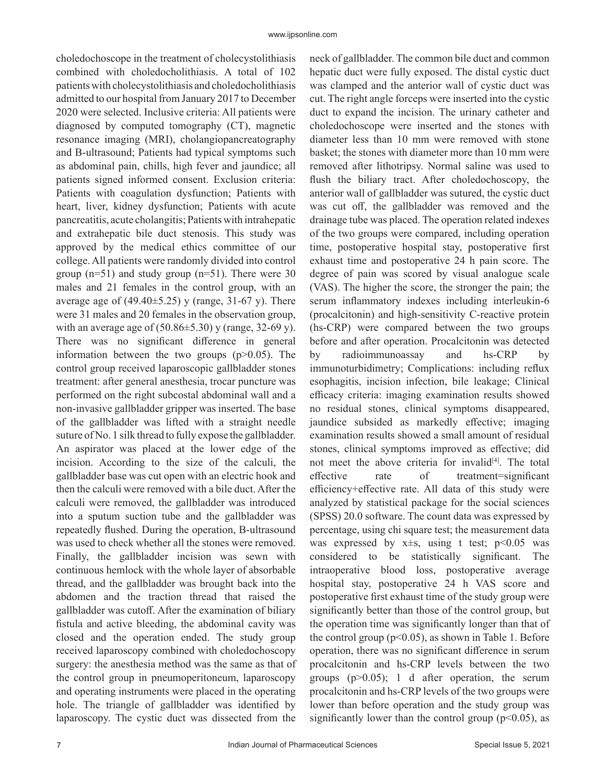choledochoscope in the treatment of cholecystolithiasis combined with choledocholithiasis. A total of 102 patients with cholecystolithiasis and choledocholithiasis admitted to our hospital from January 2017 to December 2020 were selected. Inclusive criteria: All patients were diagnosed by computed tomography (CT), magnetic resonance imaging (MRI), cholangiopancreatography and B-ultrasound; Patients had typical symptoms such as abdominal pain, chills, high fever and jaundice; all patients signed informed consent. Exclusion criteria: Patients with coagulation dysfunction; Patients with heart, liver, kidney dysfunction; Patients with acute pancreatitis, acute cholangitis; Patients with intrahepatic and extrahepatic bile duct stenosis. This study was approved by the medical ethics committee of our college. All patients were randomly divided into control group  $(n=51)$  and study group  $(n=51)$ . There were 30 males and 21 females in the control group, with an average age of  $(49.40 \pm 5.25)$  y (range, 31-67 y). There were 31 males and 20 females in the observation group, with an average age of  $(50.86\pm5.30)$  y (range, 32-69 y). There was no significant difference in general information between the two groups  $(p>0.05)$ . The control group received laparoscopic gallbladder stones treatment: after general anesthesia, trocar puncture was performed on the right subcostal abdominal wall and a non-invasive gallbladder gripper was inserted. The base of the gallbladder was lifted with a straight needle suture of No. 1 silk thread to fully expose the gallbladder. An aspirator was placed at the lower edge of the incision. According to the size of the calculi, the gallbladder base was cut open with an electric hook and then the calculi were removed with a bile duct. After the calculi were removed, the gallbladder was introduced into a sputum suction tube and the gallbladder was repeatedly flushed. During the operation, B-ultrasound was used to check whether all the stones were removed. Finally, the gallbladder incision was sewn with continuous hemlock with the whole layer of absorbable thread, and the gallbladder was brought back into the abdomen and the traction thread that raised the gallbladder was cutoff. After the examination of biliary fistula and active bleeding, the abdominal cavity was closed and the operation ended. The study group received laparoscopy combined with choledochoscopy surgery: the anesthesia method was the same as that of the control group in pneumoperitoneum, laparoscopy and operating instruments were placed in the operating hole. The triangle of gallbladder was identified by laparoscopy. The cystic duct was dissected from the neck of gallbladder. The common bile duct and common hepatic duct were fully exposed. The distal cystic duct was clamped and the anterior wall of cystic duct was cut. The right angle forceps were inserted into the cystic duct to expand the incision. The urinary catheter and choledochoscope were inserted and the stones with diameter less than 10 mm were removed with stone basket; the stones with diameter more than 10 mm were removed after lithotripsy. Normal saline was used to flush the biliary tract. After choledochoscopy, the anterior wall of gallbladder was sutured, the cystic duct was cut off, the gallbladder was removed and the drainage tube was placed. The operation related indexes of the two groups were compared, including operation time, postoperative hospital stay, postoperative first exhaust time and postoperative 24 h pain score. The degree of pain was scored by visual analogue scale (VAS). The higher the score, the stronger the pain; the serum inflammatory indexes including interleukin-6 (procalcitonin) and high-sensitivity C-reactive protein (hs-CRP) were compared between the two groups before and after operation. Procalcitonin was detected by radioimmunoassay and hs-CRP by immunoturbidimetry; Complications: including reflux esophagitis, incision infection, bile leakage; Clinical efficacy criteria: imaging examination results showed no residual stones, clinical symptoms disappeared, jaundice subsided as markedly effective; imaging examination results showed a small amount of residual stones, clinical symptoms improved as effective; did not meet the above criteria for invalid<sup>[4]</sup>. The total effective rate of treatment=significant efficiency+effective rate. All data of this study were analyzed by statistical package for the social sciences (SPSS) 20.0 software. The count data was expressed by percentage, using chi square test; the measurement data was expressed by  $x \pm s$ , using t test;  $p \le 0.05$  was considered to be statistically significant. The intraoperative blood loss, postoperative average hospital stay, postoperative 24 h VAS score and postoperative first exhaust time of the study group were significantly better than those of the control group, but the operation time was significantly longer than that of the control group ( $p<0.05$ ), as shown in Table 1. Before operation, there was no significant difference in serum procalcitonin and hs-CRP levels between the two groups  $(p>0.05)$ ; 1 d after operation, the serum procalcitonin and hs-CRP levels of the two groups were lower than before operation and the study group was significantly lower than the control group ( $p<0.05$ ), as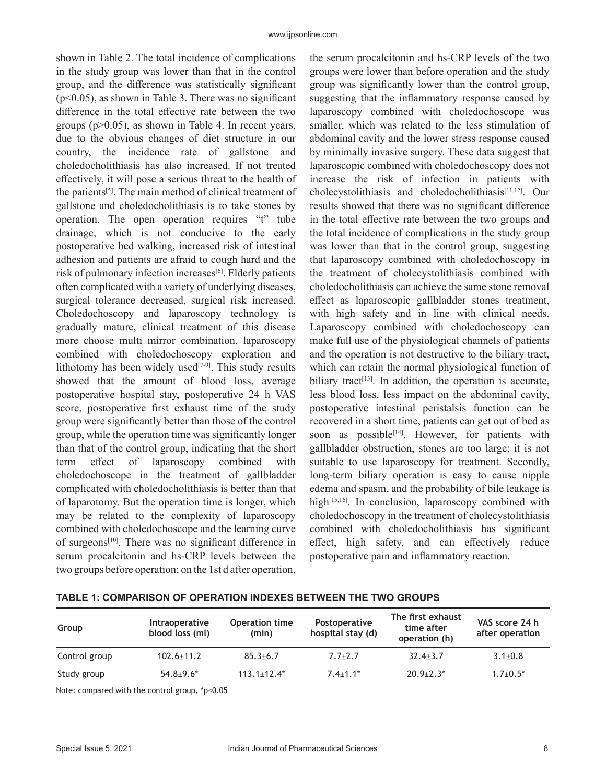shown in Table 2. The total incidence of complications in the study group was lower than that in the control group, and the difference was statistically significant  $(p<0.05)$ , as shown in Table 3. There was no significant difference in the total effective rate between the two groups  $(p>0.05)$ , as shown in Table 4. In recent years, due to the obvious changes of diet structure in our country, the incidence rate of gallstone and choledocholithiasis has also increased. If not treated effectively, it will pose a serious threat to the health of the patients<sup>[5]</sup>. The main method of clinical treatment of gallstone and choledocholithiasis is to take stones by operation. The open operation requires "t" tube drainage, which is not conducive to the early postoperative bed walking, increased risk of intestinal adhesion and patients are afraid to cough hard and the risk of pulmonary infection increases<sup>[6]</sup>. Elderly patients often complicated with a variety of underlying diseases, surgical tolerance decreased, surgical risk increased. Choledochoscopy and laparoscopy technology is gradually mature, clinical treatment of this disease more choose multi mirror combination, laparoscopy combined with choledochoscopy exploration and lithotomy has been widely used $[7-9]$ . This study results showed that the amount of blood loss, average postoperative hospital stay, postoperative 24 h VAS score, postoperative first exhaust time of the study group were significantly better than those of the control group, while the operation time was significantly longer than that of the control group, indicating that the short term effect of laparoscopy combined with choledochoscope in the treatment of gallbladder complicated with choledocholithiasis is better than that of laparotomy. But the operation time is longer, which may be related to the complexity of laparoscopy combined with choledochoscope and the learning curve of surgeons<sup>[10]</sup>. There was no significant difference in serum procalcitonin and hs-CRP levels between the two groups before operation; on the 1st d after operation,

the serum procalcitonin and hs-CRP levels of the two groups were lower than before operation and the study group was significantly lower than the control group, suggesting that the inflammatory response caused by laparoscopy combined with choledochoscope was smaller, which was related to the less stimulation of abdominal cavity and the lower stress response caused by minimally invasive surgery. These data suggest that laparoscopic combined with choledochoscopy does not increase the risk of infection in patients with cholecystolithiasis and choledocholithiasis<sup>[11,12]</sup>. Our results showed that there was no significant difference in the total effective rate between the two groups and the total incidence of complications in the study group was lower than that in the control group, suggesting that laparoscopy combined with choledochoscopy in the treatment of cholecystolithiasis combined with choledocholithiasis can achieve the same stone removal effect as laparoscopic gallbladder stones treatment, with high safety and in line with clinical needs. Laparoscopy combined with choledochoscopy can make full use of the physiological channels of patients and the operation is not destructive to the biliary tract, which can retain the normal physiological function of biliary tract<sup>[13]</sup>. In addition, the operation is accurate, less blood loss, less impact on the abdominal cavity, postoperative intestinal peristalsis function can be recovered in a short time, patients can get out of bed as soon as possible<sup>[14]</sup>. However, for patients with gallbladder obstruction, stones are too large; it is not suitable to use laparoscopy for treatment. Secondly, long-term biliary operation is easy to cause nipple edema and spasm, and the probability of bile leakage is high $[15,16]$ . In conclusion, laparoscopy combined with choledochoscopy in the treatment of cholecystolithiasis combined with choledocholithiasis has significant effect, high safety, and can effectively reduce postoperative pain and inflammatory reaction.

| Group         | <b>Intraoperative</b><br>blood loss (ml) | <b>Operation time</b><br>(min) | <b>Postoperative</b><br>hospital stay (d) | The first exhaust<br>time after<br>operation (h) | VAS score 24 h<br>after operation |
|---------------|------------------------------------------|--------------------------------|-------------------------------------------|--------------------------------------------------|-----------------------------------|
| Control group | $102.6 \pm 11.2$                         | $85.3{\pm}6.7$                 | $7.7 \pm 2.7$                             | $32.4 \pm 3.7$                                   | $3.1 \pm 0.8$                     |
| Study group   | $54.8 + 9.6*$                            | $113.1 \pm 12.4*$              | $7.4 + 1.1*$                              | $20.9 + 2.3*$                                    | $1.7+0.5*$                        |

### **TABLE 1: COMPARISON OF OPERATION INDEXES BETWEEN THE TWO GROUPS**

Note: compared with the control group, \*p<0.05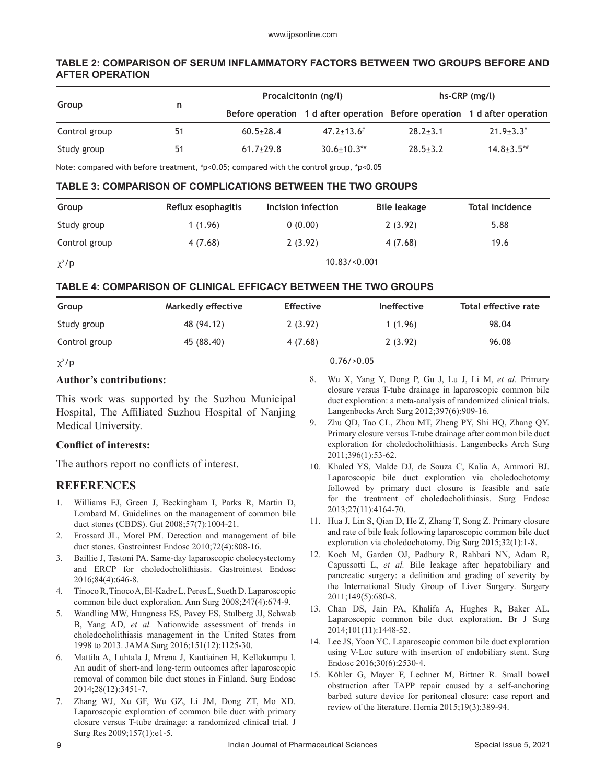# **TABLE 2: COMPARISON OF SERUM INFLAMMATORY FACTORS BETWEEN TWO GROUPS BEFORE AND AFTER OPERATION**

|               |    | Procalcitonin (ng/l) |                      | $hs-CRP$ (mg/l)                                                           |                              |
|---------------|----|----------------------|----------------------|---------------------------------------------------------------------------|------------------------------|
| Group         | n  |                      |                      | Before operation 1 d after operation Before operation 1 d after operation |                              |
| Control group | 51 | $60.5 \pm 28.4$      | $47.2 \pm 13.6^{\#}$ | $28.2 \pm 3.1$                                                            | $21.9 \pm 3.3$               |
| Study group   | 51 | $61.7+29.8$          | $30.6 \pm 10.3$ **   | $28.5 \pm 3.2$                                                            | $14.8 \pm 3.5$ <sup>*#</sup> |

Note: compared with before treatment, # p<0.05; compared with the control group, \*p<0.05

### **TABLE 3: COMPARISON OF COMPLICATIONS BETWEEN THE TWO GROUPS**

| Group         | Reflux esophagitis | Incision infection | Bile leakage | Total incidence |  |
|---------------|--------------------|--------------------|--------------|-----------------|--|
| Study group   | 1(1.96)            | 0(0.00)            | 2(3.92)      | 5.88            |  |
| Control group | 4(7.68)            | 2(3.92)            | 4 (7.68)     | 19.6            |  |
| $\chi^2$ /p   | 10.83 / < 0.001    |                    |              |                 |  |

# **TABLE 4: COMPARISON OF CLINICAL EFFICACY BETWEEN THE TWO GROUPS**

| Group         | Markedly effective | <b>Effective</b> | <b>Ineffective</b> | Total effective rate |  |
|---------------|--------------------|------------------|--------------------|----------------------|--|
| Study group   | 48 (94.12)         | 2(3.92)          | 1(1.96)            | 98.04                |  |
| Control group | 45 (88.40)         | 4 (7.68)         | 2(3.92)            | 96.08                |  |
| $\chi^2$ /p   | $0.76$ />0.05      |                  |                    |                      |  |

#### **Author's contributions:**

This work was supported by the Suzhou Municipal Hospital, The Affiliated Suzhou Hospital of Nanjing Medical University.

#### **Conflict of interests:**

The authors report no conflicts of interest.

# **REFERENCES**

- 1. Williams EJ, Green J, Beckingham I, Parks R, Martin D, Lombard M. Guidelines on the management of common bile duct stones (CBDS). Gut 2008;57(7):1004-21.
- 2. Frossard JL, Morel PM. Detection and management of bile duct stones. Gastrointest Endosc 2010;72(4):808-16.
- 3. Baillie J, Testoni PA. Same-day laparoscopic cholecystectomy and ERCP for choledocholithiasis. Gastrointest Endosc 2016;84(4):646-8.
- 4. Tinoco R, Tinoco A, El-Kadre L, Peres L, Sueth D. Laparoscopic common bile duct exploration. Ann Surg 2008;247(4):674-9.
- 5. Wandling MW, Hungness ES, Pavey ES, Stulberg JJ, Schwab B, Yang AD, *et al.* Nationwide assessment of trends in choledocholithiasis management in the United States from 1998 to 2013. JAMA Surg 2016;151(12):1125-30.
- 6. Mattila A, Luhtala J, Mrena J, Kautiainen H, Kellokumpu I. An audit of short-and long-term outcomes after laparoscopic removal of common bile duct stones in Finland. Surg Endosc 2014;28(12):3451-7.
- 7. Zhang WJ, Xu GF, Wu GZ, Li JM, Dong ZT, Mo XD. Laparoscopic exploration of common bile duct with primary closure versus T-tube drainage: a randomized clinical trial. J Surg Res 2009;157(1):e1-5.
- 8. Wu X, Yang Y, Dong P, Gu J, Lu J, Li M, *et al.* Primary closure versus T-tube drainage in laparoscopic common bile duct exploration: a meta-analysis of randomized clinical trials. Langenbecks Arch Surg 2012;397(6):909-16.
- 9. Zhu QD, Tao CL, Zhou MT, Zheng PY, Shi HQ, Zhang QY. Primary closure versus T-tube drainage after common bile duct exploration for choledocholithiasis. Langenbecks Arch Surg 2011;396(1):53-62.
- 10. Khaled YS, Malde DJ, de Souza C, Kalia A, Ammori BJ. Laparoscopic bile duct exploration via choledochotomy followed by primary duct closure is feasible and safe for the treatment of choledocholithiasis. Surg Endosc 2013;27(11):4164-70.
- 11. Hua J, Lin S, Qian D, He Z, Zhang T, Song Z. Primary closure and rate of bile leak following laparoscopic common bile duct exploration via choledochotomy. Dig Surg 2015;32(1):1-8.
- 12. Koch M, Garden OJ, Padbury R, Rahbari NN, Adam R, Capussotti L, *et al.* Bile leakage after hepatobiliary and pancreatic surgery: a definition and grading of severity by the International Study Group of Liver Surgery. Surgery 2011;149(5):680-8.
- 13. Chan DS, Jain PA, Khalifa A, Hughes R, Baker AL. Laparoscopic common bile duct exploration. Br J Surg 2014;101(11):1448-52.
- 14. Lee JS, Yoon YC. Laparoscopic common bile duct exploration using V-Loc suture with insertion of endobiliary stent. Surg Endosc 2016;30(6):2530-4.
- 15. Köhler G, Mayer F, Lechner M, Bittner R. Small bowel obstruction after TAPP repair caused by a self-anchoring barbed suture device for peritoneal closure: case report and review of the literature. Hernia 2015;19(3):389-94.